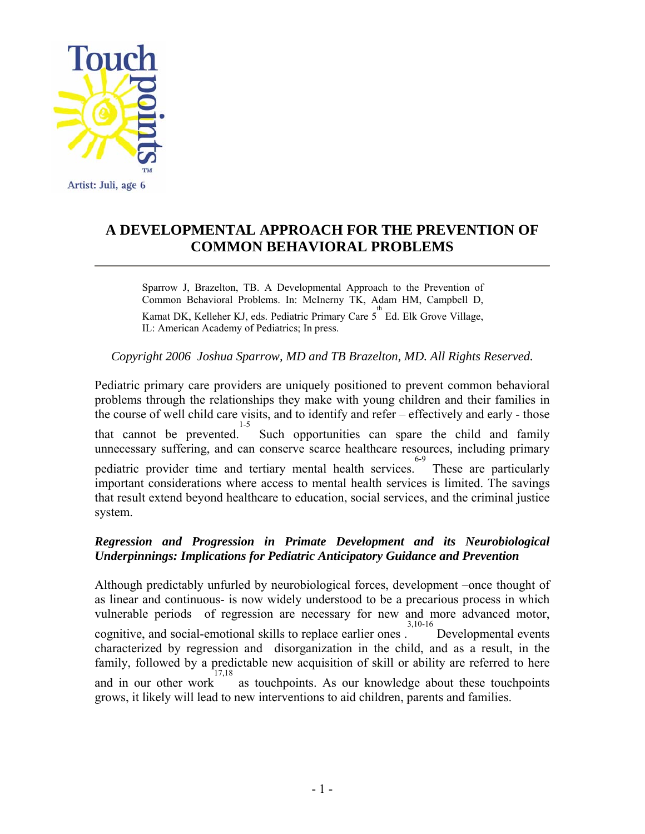

# **A DEVELOPMENTAL APPROACH FOR THE PREVENTION OF COMMON BEHAVIORAL PROBLEMS**

Sparrow J, Brazelton, TB. A Developmental Approach to the Prevention of Common Behavioral Problems. In: McInerny TK, Adam HM, Campbell D, Kamat DK, Kelleher KJ, eds. Pediatric Primary Care  $5^{th}$  Ed. Elk Grove Village, IL: American Academy of Pediatrics; In press.

*Copyright 2006 Joshua Sparrow, MD and TB Brazelton, MD. All Rights Reserved.* 

Pediatric primary care providers are uniquely positioned to prevent common behavioral problems through the relationships they make with young children and their families in the course of well child care visits, and to identify and refer – effectively and early - those that cannot be prevented. 1-5 Such opportunities can spare the child and family unnecessary suffering, and can conserve scarce healthcare resources, including primary pediatric provider time and tertiary mental health services. 6-9 These are particularly important considerations where access to mental health services is limited. The savings that result extend beyond healthcare to education, social services, and the criminal justice system.

# *Regression and Progression in Primate Development and its Neurobiological Underpinnings: Implications for Pediatric Anticipatory Guidance and Prevention*

Although predictably unfurled by neurobiological forces, development –once thought of as linear and continuous- is now widely understood to be a precarious process in which vulnerable periods of regression are necessary for new and more advanced motor, cognitive, and social-emotional skills to replace earlier ones . 3,10-16 Developmental events characterized by regression and disorganization in the child, and as a result, in the family, followed by a predictable new acquisition of skill or ability are referred to here and in our other work<sup>17,18</sup> as touchpoints. As our knowledge about these touchpoints grows, it likely will lead to new interventions to aid children, parents and families.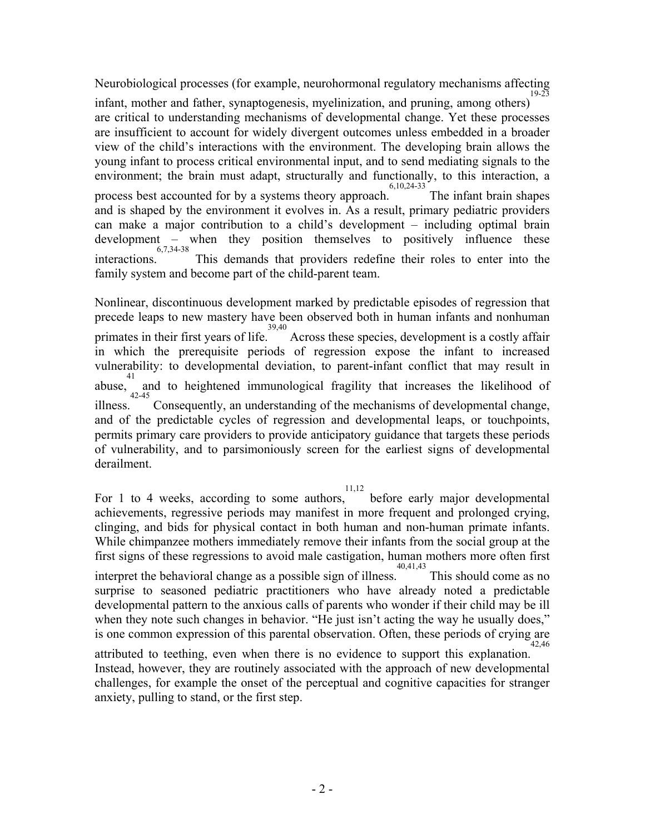Neurobiological processes (for example, neurohormonal regulatory mechanisms affecting 19-23

infant, mother and father, synaptogenesis, myelinization, and pruning, among others) are critical to understanding mechanisms of developmental change. Yet these processes are insufficient to account for widely divergent outcomes unless embedded in a broader view of the child's interactions with the environment. The developing brain allows the young infant to process critical environmental input, and to send mediating signals to the environment; the brain must adapt, structurally and functionally, to this interaction, a process best accounted for by a systems theory approach. 6,10,24-33 The infant brain shapes and is shaped by the environment it evolves in. As a result, primary pediatric providers can make a major contribution to a child's development – including optimal brain development – when they position themselves to positively influence these interactions. This demands that providers redefine their roles to enter into the family system and become part of the child-parent team.

Nonlinear, discontinuous development marked by predictable episodes of regression that precede leaps to new mastery have been observed both in human infants and nonhuman primates in their first years of life. 39,40 Across these species, development is a costly affair in which the prerequisite periods of regression expose the infant to increased vulnerability: to developmental deviation, to parent-infant conflict that may result in abuse, and to heightened immunological fragility that increases the likelihood of illness. Consequently, an understanding of the mechanisms of developmental change, and of the predictable cycles of regression and developmental leaps, or touchpoints, permits primary care providers to provide anticipatory guidance that targets these periods of vulnerability, and to parsimoniously screen for the earliest signs of developmental derailment.

11,12

For 1 to 4 weeks, according to some authors, before early major developmental achievements, regressive periods may manifest in more frequent and prolonged crying, clinging, and bids for physical contact in both human and non-human primate infants. While chimpanzee mothers immediately remove their infants from the social group at the first signs of these regressions to avoid male castigation, human mothers more often first interpret the behavioral change as a possible sign of illness. 40,41,43 This should come as no surprise to seasoned pediatric practitioners who have already noted a predictable developmental pattern to the anxious calls of parents who wonder if their child may be ill when they note such changes in behavior. "He just isn't acting the way he usually does," is one common expression of this parental observation. Often, these periods of crying are 42,46

attributed to teething, even when there is no evidence to support this explanation. Instead, however, they are routinely associated with the approach of new developmental challenges, for example the onset of the perceptual and cognitive capacities for stranger anxiety, pulling to stand, or the first step.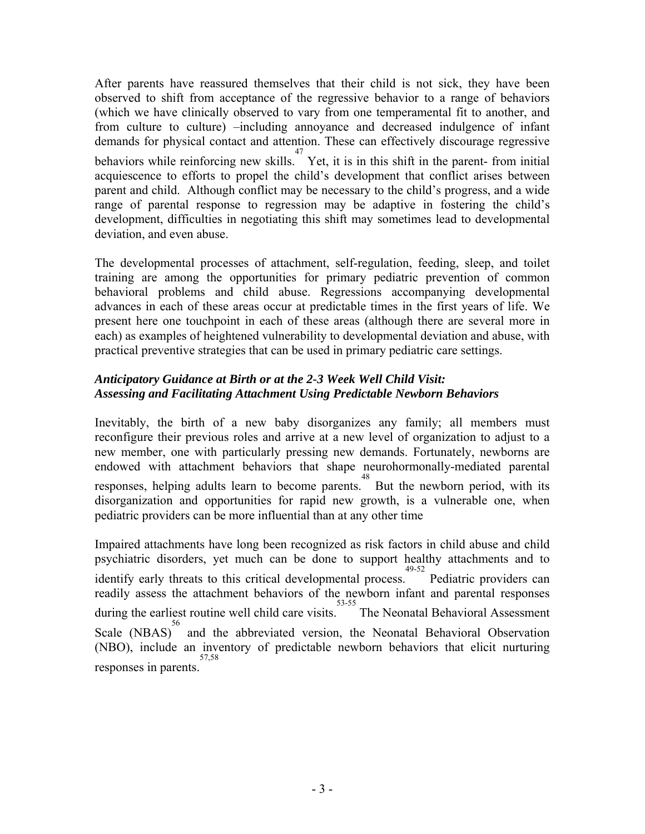After parents have reassured themselves that their child is not sick, they have been observed to shift from acceptance of the regressive behavior to a range of behaviors (which we have clinically observed to vary from one temperamental fit to another, and from culture to culture) –including annoyance and decreased indulgence of infant demands for physical contact and attention. These can effectively discourage regressive behaviors while reinforcing new skills.  $\overline{Y}$  Yet, it is in this shift in the parent- from initial acquiescence to efforts to propel the child's development that conflict arises between parent and child. Although conflict may be necessary to the child's progress, and a wide range of parental response to regression may be adaptive in fostering the child's development, difficulties in negotiating this shift may sometimes lead to developmental deviation, and even abuse.

The developmental processes of attachment, self-regulation, feeding, sleep, and toilet training are among the opportunities for primary pediatric prevention of common behavioral problems and child abuse. Regressions accompanying developmental advances in each of these areas occur at predictable times in the first years of life. We present here one touchpoint in each of these areas (although there are several more in each) as examples of heightened vulnerability to developmental deviation and abuse, with practical preventive strategies that can be used in primary pediatric care settings.

# *Anticipatory Guidance at Birth or at the 2-3 Week Well Child Visit: Assessing and Facilitating Attachment Using Predictable Newborn Behaviors*

Inevitably, the birth of a new baby disorganizes any family; all members must reconfigure their previous roles and arrive at a new level of organization to adjust to a new member, one with particularly pressing new demands. Fortunately, newborns are endowed with attachment behaviors that shape neurohormonally-mediated parental responses, helping adults learn to become parents. 48 But the newborn period, with its disorganization and opportunities for rapid new growth, is a vulnerable one, when pediatric providers can be more influential than at any other time

Impaired attachments have long been recognized as risk factors in child abuse and child psychiatric disorders, yet much can be done to support healthy attachments and to identify early threats to this critical developmental process. 49-52 Pediatric providers can readily assess the attachment behaviors of the newborn infant and parental responses during the earliest routine well child care visits. 53-55 The Neonatal Behavioral Assessment Scale (NBAS)<sup>56</sup> and the abbreviated version, the Neonatal Behavioral Observation (NBO), include an inventory of predictable newborn behaviors that elicit nurturing responses in parents. 57,58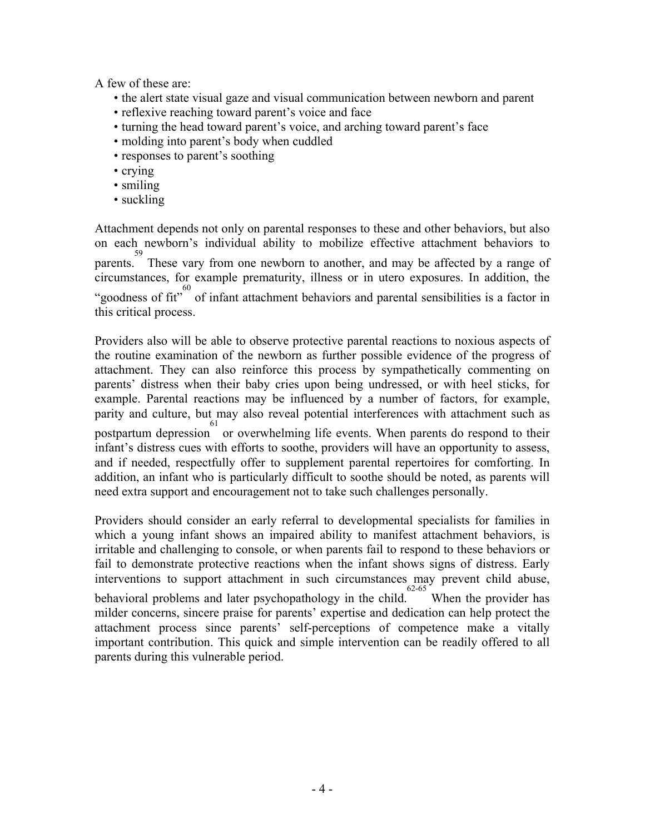A few of these are:

- the alert state visual gaze and visual communication between newborn and parent
- reflexive reaching toward parent's voice and face
- turning the head toward parent's voice, and arching toward parent's face
- molding into parent's body when cuddled
- responses to parent's soothing
- crying
- smiling
- suckling

Attachment depends not only on parental responses to these and other behaviors, but also on each newborn's individual ability to mobilize effective attachment behaviors to <sup>59</sup><br>parents. These vary from one newborn to another, and may be affected by a range of circumstances, for example prematurity, illness or in utero exposures. In addition, the "goodness of fit"<sup>60</sup> of infant attachment behaviors and parental sensibilities is a factor in this critical process.

Providers also will be able to observe protective parental reactions to noxious aspects of the routine examination of the newborn as further possible evidence of the progress of attachment. They can also reinforce this process by sympathetically commenting on parents' distress when their baby cries upon being undressed, or with heel sticks, for example. Parental reactions may be influenced by a number of factors, for example, parity and culture, but may also reveal potential interferences with attachment such as postpartum depression or overwhelming life events. When parents do respond to their infant's distress cues with efforts to soothe, providers will have an opportunity to assess, and if needed, respectfully offer to supplement parental repertoires for comforting. In addition, an infant who is particularly difficult to soothe should be noted, as parents will need extra support and encouragement not to take such challenges personally.

Providers should consider an early referral to developmental specialists for families in which a young infant shows an impaired ability to manifest attachment behaviors, is irritable and challenging to console, or when parents fail to respond to these behaviors or fail to demonstrate protective reactions when the infant shows signs of distress. Early interventions to support attachment in such circumstances may prevent child abuse, behavioral problems and later psychopathology in the child. 62-65 When the provider has milder concerns, sincere praise for parents' expertise and dedication can help protect the attachment process since parents' self-perceptions of competence make a vitally important contribution. This quick and simple intervention can be readily offered to all parents during this vulnerable period.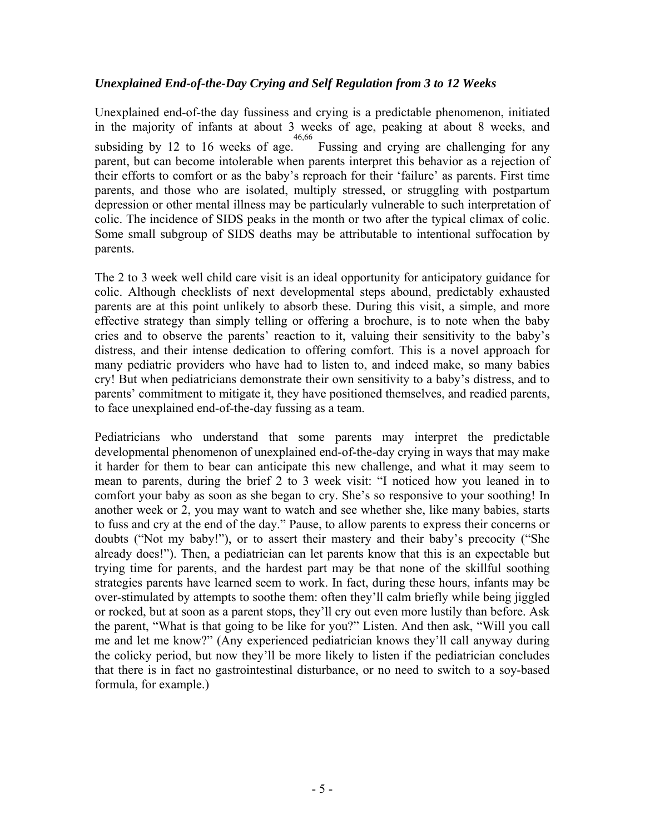# *Unexplained End-of-the-Day Crying and Self Regulation from 3 to 12 Weeks*

Unexplained end-of-the day fussiness and crying is a predictable phenomenon, initiated in the majority of infants at about 3 weeks of age, peaking at about 8 weeks, and subsiding by 12 to 16 weeks of age. 46,66 Fussing and crying are challenging for any parent, but can become intolerable when parents interpret this behavior as a rejection of their efforts to comfort or as the baby's reproach for their 'failure' as parents. First time parents, and those who are isolated, multiply stressed, or struggling with postpartum depression or other mental illness may be particularly vulnerable to such interpretation of colic. The incidence of SIDS peaks in the month or two after the typical climax of colic. Some small subgroup of SIDS deaths may be attributable to intentional suffocation by parents.

The 2 to 3 week well child care visit is an ideal opportunity for anticipatory guidance for colic. Although checklists of next developmental steps abound, predictably exhausted parents are at this point unlikely to absorb these. During this visit, a simple, and more effective strategy than simply telling or offering a brochure, is to note when the baby cries and to observe the parents' reaction to it, valuing their sensitivity to the baby's distress, and their intense dedication to offering comfort. This is a novel approach for many pediatric providers who have had to listen to, and indeed make, so many babies cry! But when pediatricians demonstrate their own sensitivity to a baby's distress, and to parents' commitment to mitigate it, they have positioned themselves, and readied parents, to face unexplained end-of-the-day fussing as a team.

Pediatricians who understand that some parents may interpret the predictable developmental phenomenon of unexplained end-of-the-day crying in ways that may make it harder for them to bear can anticipate this new challenge, and what it may seem to mean to parents, during the brief 2 to 3 week visit: "I noticed how you leaned in to comfort your baby as soon as she began to cry. She's so responsive to your soothing! In another week or 2, you may want to watch and see whether she, like many babies, starts to fuss and cry at the end of the day." Pause, to allow parents to express their concerns or doubts ("Not my baby!"), or to assert their mastery and their baby's precocity ("She already does!"). Then, a pediatrician can let parents know that this is an expectable but trying time for parents, and the hardest part may be that none of the skillful soothing strategies parents have learned seem to work. In fact, during these hours, infants may be over-stimulated by attempts to soothe them: often they'll calm briefly while being jiggled or rocked, but at soon as a parent stops, they'll cry out even more lustily than before. Ask the parent, "What is that going to be like for you?" Listen. And then ask, "Will you call me and let me know?" (Any experienced pediatrician knows they'll call anyway during the colicky period, but now they'll be more likely to listen if the pediatrician concludes that there is in fact no gastrointestinal disturbance, or no need to switch to a soy-based formula, for example.)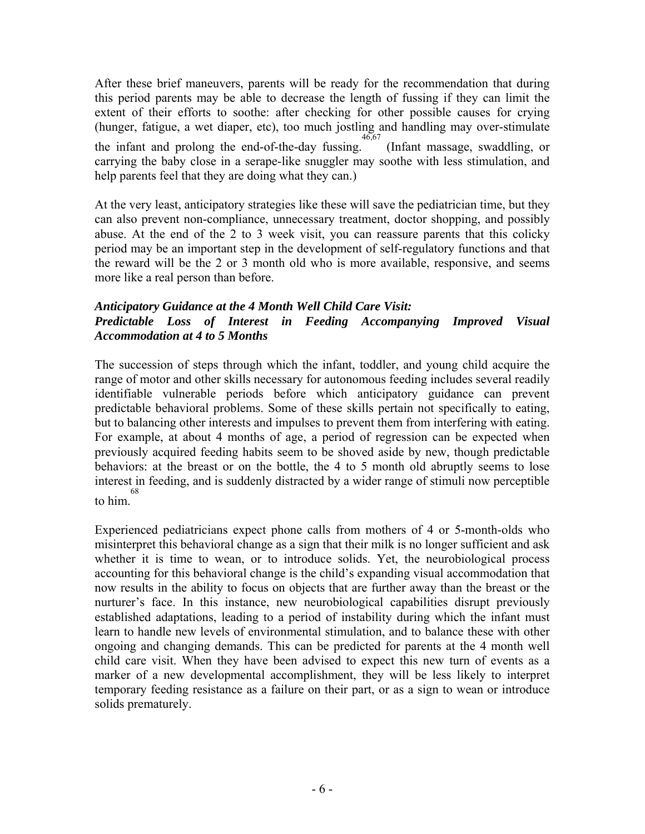After these brief maneuvers, parents will be ready for the recommendation that during this period parents may be able to decrease the length of fussing if they can limit the extent of their efforts to soothe: after checking for other possible causes for crying (hunger, fatigue, a wet diaper, etc), too much jostling and handling may over-stimulate the infant and prolong the end-of-the-day fussing. 46,67 (Infant massage, swaddling, or carrying the baby close in a serape-like snuggler may soothe with less stimulation, and help parents feel that they are doing what they can.)

At the very least, anticipatory strategies like these will save the pediatrician time, but they can also prevent non-compliance, unnecessary treatment, doctor shopping, and possibly abuse. At the end of the 2 to 3 week visit, you can reassure parents that this colicky period may be an important step in the development of self-regulatory functions and that the reward will be the 2 or 3 month old who is more available, responsive, and seems more like a real person than before.

#### *Anticipatory Guidance at the 4 Month Well Child Care Visit: Predictable Loss of Interest in Feeding Accompanying Improved Visual Accommodation at 4 to 5 Months*

The succession of steps through which the infant, toddler, and young child acquire the range of motor and other skills necessary for autonomous feeding includes several readily identifiable vulnerable periods before which anticipatory guidance can prevent predictable behavioral problems. Some of these skills pertain not specifically to eating, but to balancing other interests and impulses to prevent them from interfering with eating. For example, at about 4 months of age, a period of regression can be expected when previously acquired feeding habits seem to be shoved aside by new, though predictable behaviors: at the breast or on the bottle, the 4 to 5 month old abruptly seems to lose interest in feeding, and is suddenly distracted by a wider range of stimuli now perceptible to him. 68

Experienced pediatricians expect phone calls from mothers of 4 or 5-month-olds who misinterpret this behavioral change as a sign that their milk is no longer sufficient and ask whether it is time to wean, or to introduce solids. Yet, the neurobiological process accounting for this behavioral change is the child's expanding visual accommodation that now results in the ability to focus on objects that are further away than the breast or the nurturer's face. In this instance, new neurobiological capabilities disrupt previously established adaptations, leading to a period of instability during which the infant must learn to handle new levels of environmental stimulation, and to balance these with other ongoing and changing demands. This can be predicted for parents at the 4 month well child care visit. When they have been advised to expect this new turn of events as a marker of a new developmental accomplishment, they will be less likely to interpret temporary feeding resistance as a failure on their part, or as a sign to wean or introduce solids prematurely.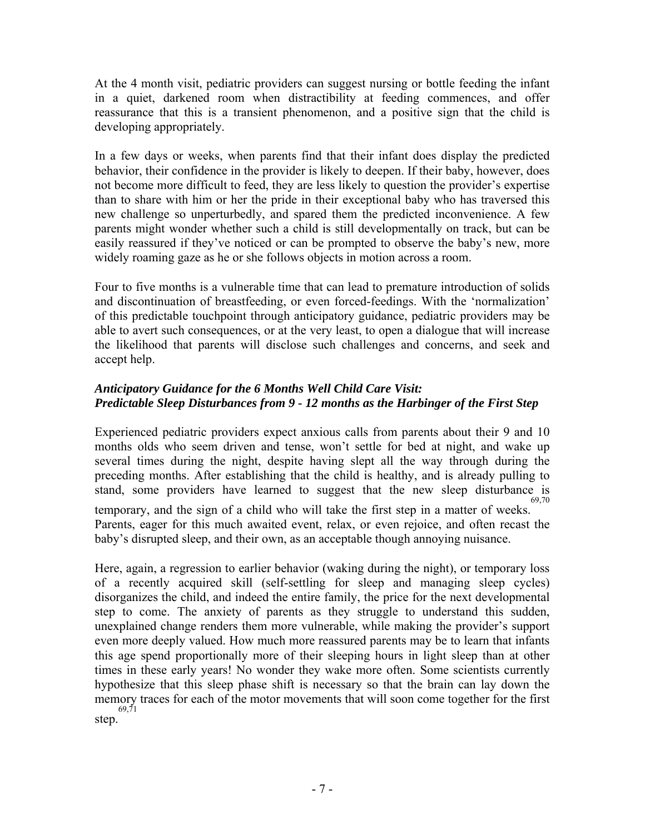At the 4 month visit, pediatric providers can suggest nursing or bottle feeding the infant in a quiet, darkened room when distractibility at feeding commences, and offer reassurance that this is a transient phenomenon, and a positive sign that the child is developing appropriately.

In a few days or weeks, when parents find that their infant does display the predicted behavior, their confidence in the provider is likely to deepen. If their baby, however, does not become more difficult to feed, they are less likely to question the provider's expertise than to share with him or her the pride in their exceptional baby who has traversed this new challenge so unperturbedly, and spared them the predicted inconvenience. A few parents might wonder whether such a child is still developmentally on track, but can be easily reassured if they've noticed or can be prompted to observe the baby's new, more widely roaming gaze as he or she follows objects in motion across a room.

Four to five months is a vulnerable time that can lead to premature introduction of solids and discontinuation of breastfeeding, or even forced-feedings. With the 'normalization' of this predictable touchpoint through anticipatory guidance, pediatric providers may be able to avert such consequences, or at the very least, to open a dialogue that will increase the likelihood that parents will disclose such challenges and concerns, and seek and accept help.

# *Anticipatory Guidance for the 6 Months Well Child Care Visit: Predictable Sleep Disturbances from 9 - 12 months as the Harbinger of the First Step*

Experienced pediatric providers expect anxious calls from parents about their 9 and 10 months olds who seem driven and tense, won't settle for bed at night, and wake up several times during the night, despite having slept all the way through during the preceding months. After establishing that the child is healthy, and is already pulling to stand, some providers have learned to suggest that the new sleep disturbance is temporary, and the sign of a child who will take the first step in a matter of weeks. 69,70 Parents, eager for this much awaited event, relax, or even rejoice, and often recast the baby's disrupted sleep, and their own, as an acceptable though annoying nuisance.

Here, again, a regression to earlier behavior (waking during the night), or temporary loss of a recently acquired skill (self-settling for sleep and managing sleep cycles) disorganizes the child, and indeed the entire family, the price for the next developmental step to come. The anxiety of parents as they struggle to understand this sudden, unexplained change renders them more vulnerable, while making the provider's support even more deeply valued. How much more reassured parents may be to learn that infants this age spend proportionally more of their sleeping hours in light sleep than at other times in these early years! No wonder they wake more often. Some scientists currently hypothesize that this sleep phase shift is necessary so that the brain can lay down the memory traces for each of the motor movements that will soon come together for the first step. 69,71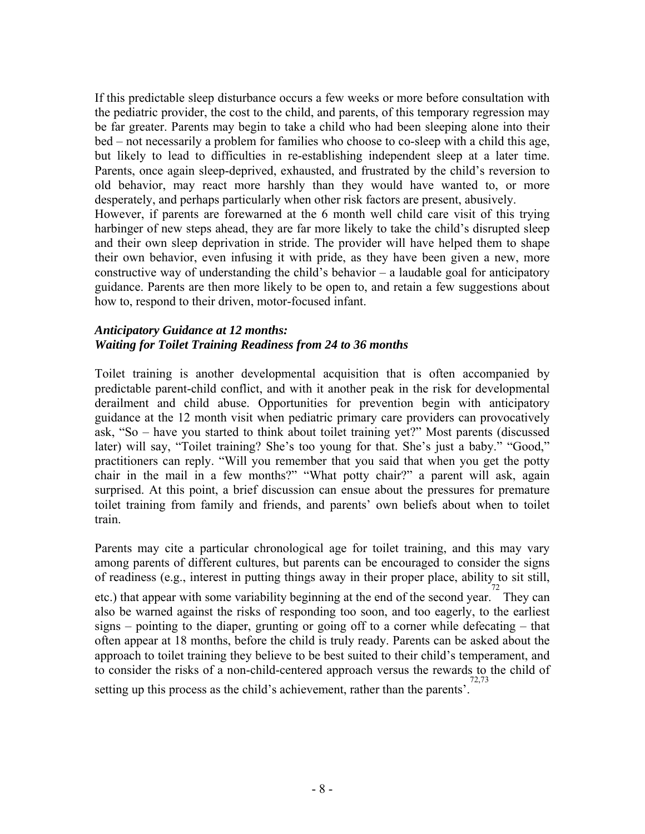If this predictable sleep disturbance occurs a few weeks or more before consultation with the pediatric provider, the cost to the child, and parents, of this temporary regression may be far greater. Parents may begin to take a child who had been sleeping alone into their bed – not necessarily a problem for families who choose to co-sleep with a child this age, but likely to lead to difficulties in re-establishing independent sleep at a later time. Parents, once again sleep-deprived, exhausted, and frustrated by the child's reversion to old behavior, may react more harshly than they would have wanted to, or more desperately, and perhaps particularly when other risk factors are present, abusively. However, if parents are forewarned at the 6 month well child care visit of this trying harbinger of new steps ahead, they are far more likely to take the child's disrupted sleep and their own sleep deprivation in stride. The provider will have helped them to shape their own behavior, even infusing it with pride, as they have been given a new, more constructive way of understanding the child's behavior – a laudable goal for anticipatory guidance. Parents are then more likely to be open to, and retain a few suggestions about how to, respond to their driven, motor-focused infant.

#### *Anticipatory Guidance at 12 months: Waiting for Toilet Training Readiness from 24 to 36 months*

Toilet training is another developmental acquisition that is often accompanied by predictable parent-child conflict, and with it another peak in the risk for developmental derailment and child abuse. Opportunities for prevention begin with anticipatory guidance at the 12 month visit when pediatric primary care providers can provocatively ask, "So – have you started to think about toilet training yet?" Most parents (discussed later) will say, "Toilet training? She's too young for that. She's just a baby." "Good," practitioners can reply. "Will you remember that you said that when you get the potty chair in the mail in a few months?" "What potty chair?" a parent will ask, again surprised. At this point, a brief discussion can ensue about the pressures for premature toilet training from family and friends, and parents' own beliefs about when to toilet train.

Parents may cite a particular chronological age for toilet training, and this may vary among parents of different cultures, but parents can be encouraged to consider the signs of readiness (e.g., interest in putting things away in their proper place, ability to sit still,

etc.) that appear with some variability beginning at the end of the second year. They can also be warned against the risks of responding too soon, and too eagerly, to the earliest signs – pointing to the diaper, grunting or going off to a corner while defecating – that often appear at 18 months, before the child is truly ready. Parents can be asked about the approach to toilet training they believe to be best suited to their child's temperament, and to consider the risks of a non-child-centered approach versus the rewards to the child of setting up this process as the child's achievement, rather than the parents'.<sup>72,73</sup>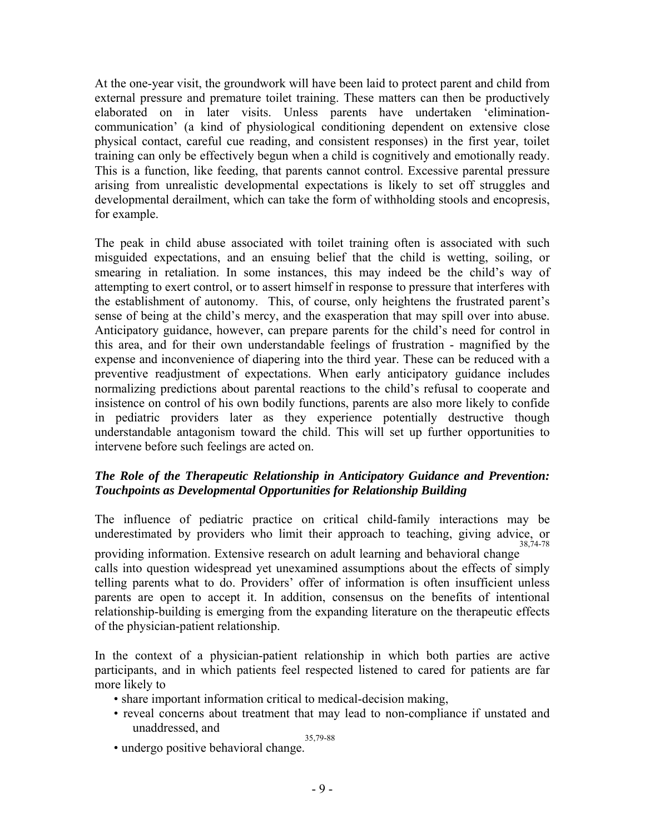At the one-year visit, the groundwork will have been laid to protect parent and child from external pressure and premature toilet training. These matters can then be productively elaborated on in later visits. Unless parents have undertaken 'eliminationcommunication' (a kind of physiological conditioning dependent on extensive close physical contact, careful cue reading, and consistent responses) in the first year, toilet training can only be effectively begun when a child is cognitively and emotionally ready. This is a function, like feeding, that parents cannot control. Excessive parental pressure arising from unrealistic developmental expectations is likely to set off struggles and developmental derailment, which can take the form of withholding stools and encopresis, for example.

The peak in child abuse associated with toilet training often is associated with such misguided expectations, and an ensuing belief that the child is wetting, soiling, or smearing in retaliation. In some instances, this may indeed be the child's way of attempting to exert control, or to assert himself in response to pressure that interferes with the establishment of autonomy. This, of course, only heightens the frustrated parent's sense of being at the child's mercy, and the exasperation that may spill over into abuse. Anticipatory guidance, however, can prepare parents for the child's need for control in this area, and for their own understandable feelings of frustration - magnified by the expense and inconvenience of diapering into the third year. These can be reduced with a preventive readjustment of expectations. When early anticipatory guidance includes normalizing predictions about parental reactions to the child's refusal to cooperate and insistence on control of his own bodily functions, parents are also more likely to confide in pediatric providers later as they experience potentially destructive though understandable antagonism toward the child. This will set up further opportunities to intervene before such feelings are acted on.

# *The Role of the Therapeutic Relationship in Anticipatory Guidance and Prevention: Touchpoints as Developmental Opportunities for Relationship Building*

The influence of pediatric practice on critical child-family interactions may be underestimated by providers who limit their approach to teaching, giving advice, or providing information. Extensive research on adult learning and behavioral change 38,74-78 calls into question widespread yet unexamined assumptions about the effects of simply telling parents what to do. Providers' offer of information is often insufficient unless parents are open to accept it. In addition, consensus on the benefits of intentional relationship-building is emerging from the expanding literature on the therapeutic effects of the physician-patient relationship.

In the context of a physician-patient relationship in which both parties are active participants, and in which patients feel respected listened to cared for patients are far more likely to

- share important information critical to medical-decision making,
- reveal concerns about treatment that may lead to non-compliance if unstated and unaddressed, and 35,79-88
- undergo positive behavioral change.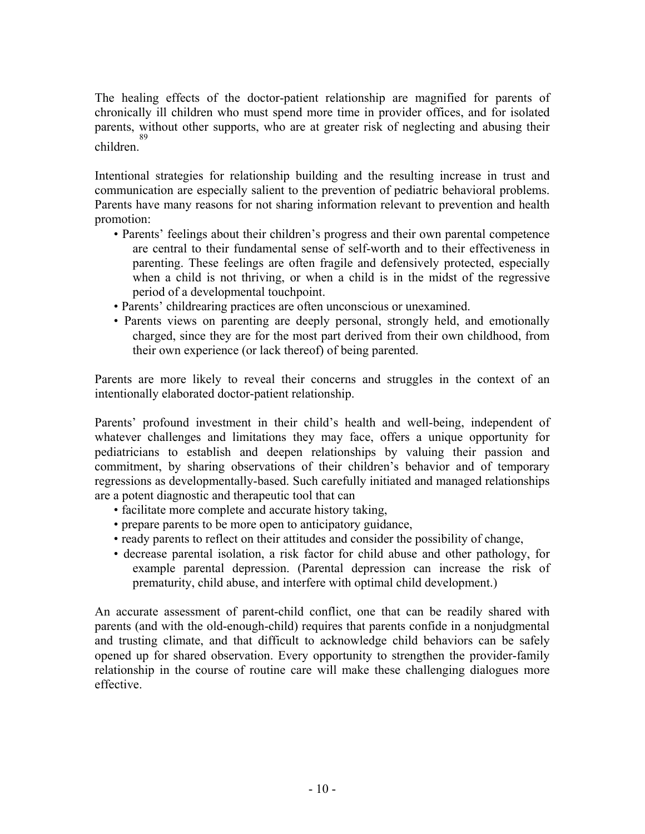The healing effects of the doctor-patient relationship are magnified for parents of chronically ill children who must spend more time in provider offices, and for isolated parents, without other supports, who are at greater risk of neglecting and abusing their children. 89

Intentional strategies for relationship building and the resulting increase in trust and communication are especially salient to the prevention of pediatric behavioral problems. Parents have many reasons for not sharing information relevant to prevention and health promotion:

- Parents' feelings about their children's progress and their own parental competence are central to their fundamental sense of self-worth and to their effectiveness in parenting. These feelings are often fragile and defensively protected, especially when a child is not thriving, or when a child is in the midst of the regressive period of a developmental touchpoint.
- Parents' childrearing practices are often unconscious or unexamined.
- Parents views on parenting are deeply personal, strongly held, and emotionally charged, since they are for the most part derived from their own childhood, from their own experience (or lack thereof) of being parented.

Parents are more likely to reveal their concerns and struggles in the context of an intentionally elaborated doctor-patient relationship.

Parents' profound investment in their child's health and well-being, independent of whatever challenges and limitations they may face, offers a unique opportunity for pediatricians to establish and deepen relationships by valuing their passion and commitment, by sharing observations of their children's behavior and of temporary regressions as developmentally-based. Such carefully initiated and managed relationships are a potent diagnostic and therapeutic tool that can

- facilitate more complete and accurate history taking,
- prepare parents to be more open to anticipatory guidance,
- ready parents to reflect on their attitudes and consider the possibility of change,
- decrease parental isolation, a risk factor for child abuse and other pathology, for example parental depression. (Parental depression can increase the risk of prematurity, child abuse, and interfere with optimal child development.)

An accurate assessment of parent-child conflict, one that can be readily shared with parents (and with the old-enough-child) requires that parents confide in a nonjudgmental and trusting climate, and that difficult to acknowledge child behaviors can be safely opened up for shared observation. Every opportunity to strengthen the provider-family relationship in the course of routine care will make these challenging dialogues more effective.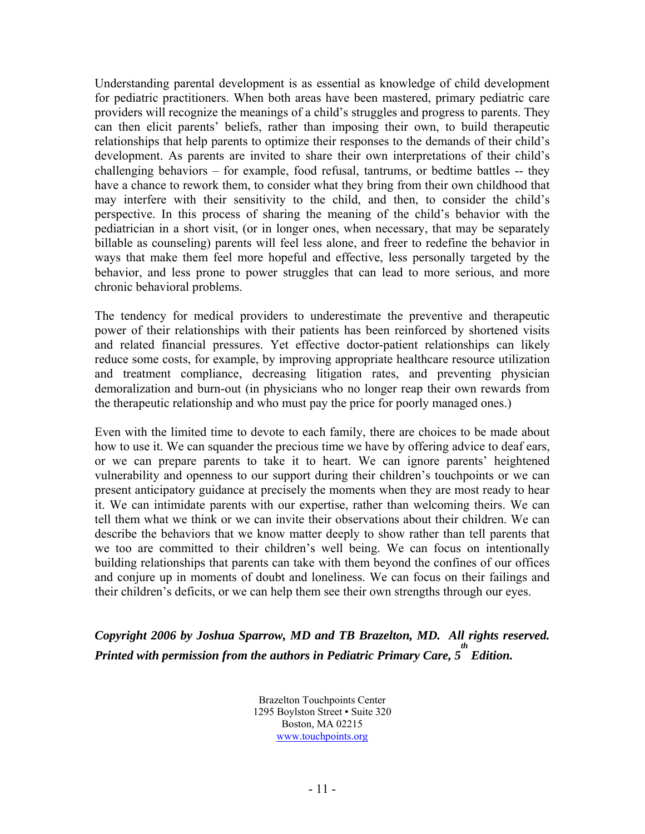Understanding parental development is as essential as knowledge of child development for pediatric practitioners. When both areas have been mastered, primary pediatric care providers will recognize the meanings of a child's struggles and progress to parents. They can then elicit parents' beliefs, rather than imposing their own, to build therapeutic relationships that help parents to optimize their responses to the demands of their child's development. As parents are invited to share their own interpretations of their child's challenging behaviors – for example, food refusal, tantrums, or bedtime battles -- they have a chance to rework them, to consider what they bring from their own childhood that may interfere with their sensitivity to the child, and then, to consider the child's perspective. In this process of sharing the meaning of the child's behavior with the pediatrician in a short visit, (or in longer ones, when necessary, that may be separately billable as counseling) parents will feel less alone, and freer to redefine the behavior in ways that make them feel more hopeful and effective, less personally targeted by the behavior, and less prone to power struggles that can lead to more serious, and more chronic behavioral problems.

The tendency for medical providers to underestimate the preventive and therapeutic power of their relationships with their patients has been reinforced by shortened visits and related financial pressures. Yet effective doctor-patient relationships can likely reduce some costs, for example, by improving appropriate healthcare resource utilization and treatment compliance, decreasing litigation rates, and preventing physician demoralization and burn-out (in physicians who no longer reap their own rewards from the therapeutic relationship and who must pay the price for poorly managed ones.)

Even with the limited time to devote to each family, there are choices to be made about how to use it. We can squander the precious time we have by offering advice to deaf ears, or we can prepare parents to take it to heart. We can ignore parents' heightened vulnerability and openness to our support during their children's touchpoints or we can present anticipatory guidance at precisely the moments when they are most ready to hear it. We can intimidate parents with our expertise, rather than welcoming theirs. We can tell them what we think or we can invite their observations about their children. We can describe the behaviors that we know matter deeply to show rather than tell parents that we too are committed to their children's well being. We can focus on intentionally building relationships that parents can take with them beyond the confines of our offices and conjure up in moments of doubt and loneliness. We can focus on their failings and their children's deficits, or we can help them see their own strengths through our eyes.

*Copyright 2006 by Joshua Sparrow, MD and TB Brazelton, MD. All rights reserved. Printed with permission from the authors in Pediatric Primary Care, 5 Edition.* 

> Brazelton Touchpoints Center 1295 Boylston Street ▪ Suite 320 Boston, MA 02215 www.touchpoints.org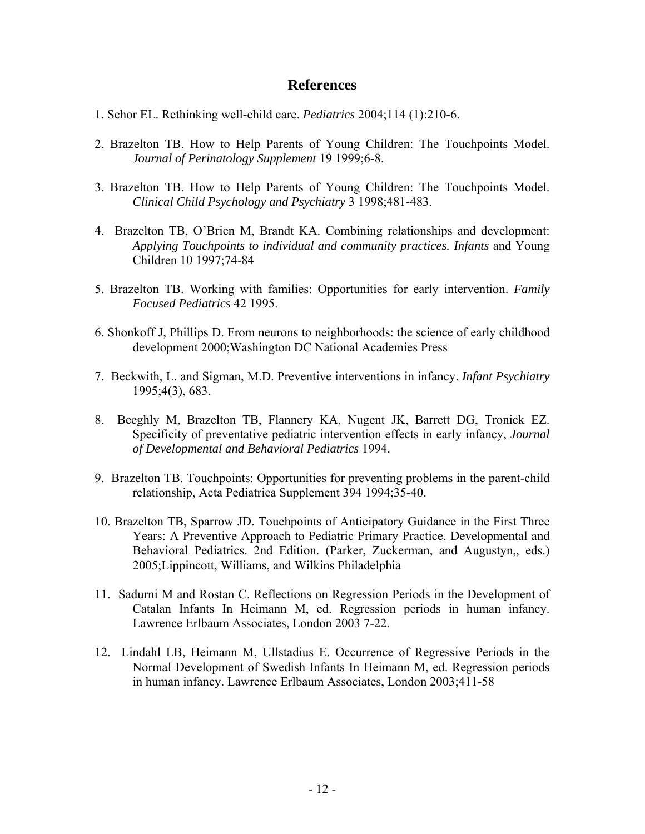# **References**

- 1. Schor EL. Rethinking well-child care. *Pediatrics* 2004;114 (1):210-6.
- 2. Brazelton TB. How to Help Parents of Young Children: The Touchpoints Model. *Journal of Perinatology Supplement* 19 1999;6-8.
- 3. Brazelton TB. How to Help Parents of Young Children: The Touchpoints Model. *Clinical Child Psychology and Psychiatry* 3 1998;481-483.
- 4. Brazelton TB, O'Brien M, Brandt KA. Combining relationships and development: *Applying Touchpoints to individual and community practices. Infants* and Young Children 10 1997;74-84
- 5. Brazelton TB. Working with families: Opportunities for early intervention. *Family Focused Pediatrics* 42 1995.
- 6. Shonkoff J, Phillips D. From neurons to neighborhoods: the science of early childhood development 2000;Washington DC National Academies Press
- 7. Beckwith, L. and Sigman, M.D. Preventive interventions in infancy. *Infant Psychiatry* 1995;4(3), 683.
- 8. Beeghly M, Brazelton TB, Flannery KA, Nugent JK, Barrett DG, Tronick EZ. Specificity of preventative pediatric intervention effects in early infancy, *Journal of Developmental and Behavioral Pediatrics* 1994.
- 9. Brazelton TB. Touchpoints: Opportunities for preventing problems in the parent-child relationship, Acta Pediatrica Supplement 394 1994;35-40.
- 10. Brazelton TB, Sparrow JD. Touchpoints of Anticipatory Guidance in the First Three Years: A Preventive Approach to Pediatric Primary Practice. Developmental and Behavioral Pediatrics. 2nd Edition. (Parker, Zuckerman, and Augustyn,, eds.) 2005;Lippincott, Williams, and Wilkins Philadelphia
- 11. Sadurni M and Rostan C. Reflections on Regression Periods in the Development of Catalan Infants In Heimann M, ed. Regression periods in human infancy. Lawrence Erlbaum Associates, London 2003 7-22.
- 12. Lindahl LB, Heimann M, Ullstadius E. Occurrence of Regressive Periods in the Normal Development of Swedish Infants In Heimann M, ed. Regression periods in human infancy. Lawrence Erlbaum Associates, London 2003;411-58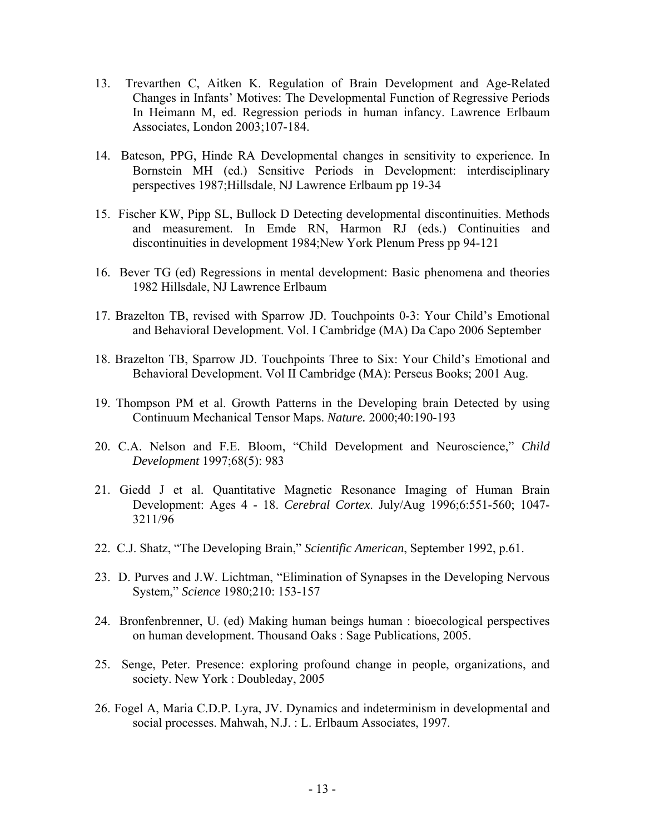- 13. Trevarthen C, Aitken K. Regulation of Brain Development and Age-Related Changes in Infants' Motives: The Developmental Function of Regressive Periods In Heimann M, ed. Regression periods in human infancy. Lawrence Erlbaum Associates, London 2003;107-184.
- 14. Bateson, PPG, Hinde RA Developmental changes in sensitivity to experience. In Bornstein MH (ed.) Sensitive Periods in Development: interdisciplinary perspectives 1987;Hillsdale, NJ Lawrence Erlbaum pp 19-34
- 15. Fischer KW, Pipp SL, Bullock D Detecting developmental discontinuities. Methods and measurement. In Emde RN, Harmon RJ (eds.) Continuities and discontinuities in development 1984;New York Plenum Press pp 94-121
- 16. Bever TG (ed) Regressions in mental development: Basic phenomena and theories 1982 Hillsdale, NJ Lawrence Erlbaum
- 17. Brazelton TB, revised with Sparrow JD. Touchpoints 0-3: Your Child's Emotional and Behavioral Development. Vol. I Cambridge (MA) Da Capo 2006 September
- 18. Brazelton TB, Sparrow JD. Touchpoints Three to Six: Your Child's Emotional and Behavioral Development. Vol II Cambridge (MA): Perseus Books; 2001 Aug.
- 19. Thompson PM et al. Growth Patterns in the Developing brain Detected by using Continuum Mechanical Tensor Maps. *Nature.* 2000;40:190-193
- 20. C.A. Nelson and F.E. Bloom, "Child Development and Neuroscience," *Child Development* 1997;68(5): 983
- 21. Giedd J et al. Quantitative Magnetic Resonance Imaging of Human Brain Development: Ages 4 - 18. *Cerebral Cortex*. July/Aug 1996;6:551-560; 1047- 3211/96
- 22. C.J. Shatz, "The Developing Brain," *Scientific American*, September 1992, p.61.
- 23. D. Purves and J.W. Lichtman, "Elimination of Synapses in the Developing Nervous System," *Science* 1980;210: 153-157
- 24. Bronfenbrenner, U. (ed) Making human beings human : bioecological perspectives on human development. Thousand Oaks : Sage Publications, 2005.
- 25. Senge, Peter. Presence: exploring profound change in people, organizations, and society. New York : Doubleday, 2005
- 26. Fogel A, Maria C.D.P. Lyra, JV. Dynamics and indeterminism in developmental and social processes. Mahwah, N.J. : L. Erlbaum Associates, 1997.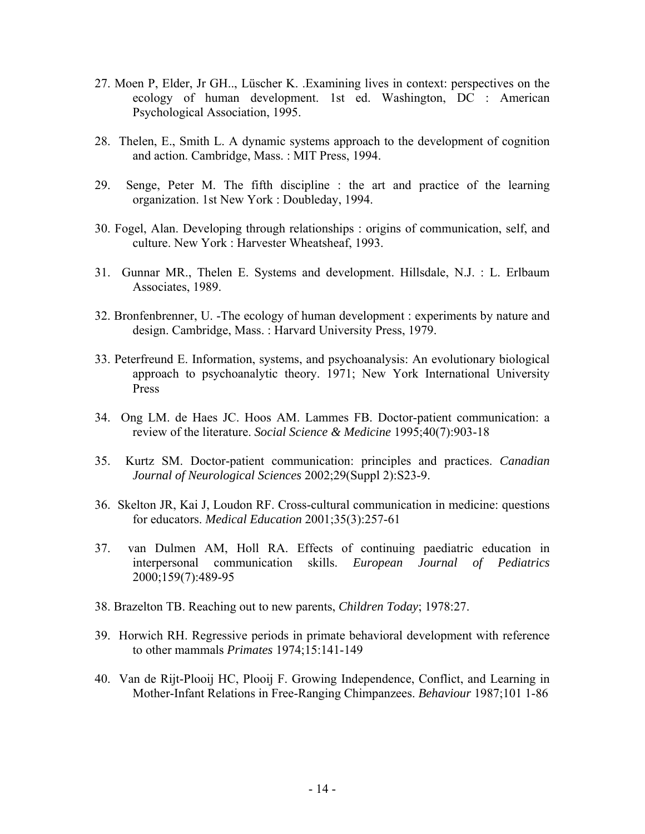- 27. Moen P, Elder, Jr GH.., Lüscher K. .Examining lives in context: perspectives on the ecology of human development. 1st ed. Washington, DC : American Psychological Association, 1995.
- 28. Thelen, E., Smith L. A dynamic systems approach to the development of cognition and action. Cambridge, Mass. : MIT Press, 1994.
- 29. Senge, Peter M. The fifth discipline : the art and practice of the learning organization. 1st New York : Doubleday, 1994.
- 30. Fogel, Alan. Developing through relationships : origins of communication, self, and culture. New York : Harvester Wheatsheaf, 1993.
- 31. Gunnar MR., Thelen E. Systems and development. Hillsdale, N.J. : L. Erlbaum Associates, 1989.
- 32. Bronfenbrenner, U. -The ecology of human development : experiments by nature and design. Cambridge, Mass. : Harvard University Press, 1979.
- 33. Peterfreund E. Information, systems, and psychoanalysis: An evolutionary biological approach to psychoanalytic theory. 1971; New York International University Press
- 34. Ong LM. de Haes JC. Hoos AM. Lammes FB. Doctor-patient communication: a review of the literature. *Social Science & Medicine* 1995;40(7):903-18
- 35. Kurtz SM. Doctor-patient communication: principles and practices. *Canadian Journal of Neurological Sciences* 2002;29(Suppl 2):S23-9.
- 36. Skelton JR, Kai J, Loudon RF. Cross-cultural communication in medicine: questions for educators. *Medical Education* 2001;35(3):257-61
- 37. van Dulmen AM, Holl RA. Effects of continuing paediatric education in interpersonal communication skills. *European Journal of Pediatrics* 2000;159(7):489-95
- 38. Brazelton TB. Reaching out to new parents, *Children Today*; 1978:27.
- 39. Horwich RH. Regressive periods in primate behavioral development with reference to other mammals *Primates* 1974;15:141-149
- 40. Van de Rijt-Plooij HC, Plooij F. Growing Independence, Conflict, and Learning in Mother-Infant Relations in Free-Ranging Chimpanzees. *Behaviour* 1987;101 1-86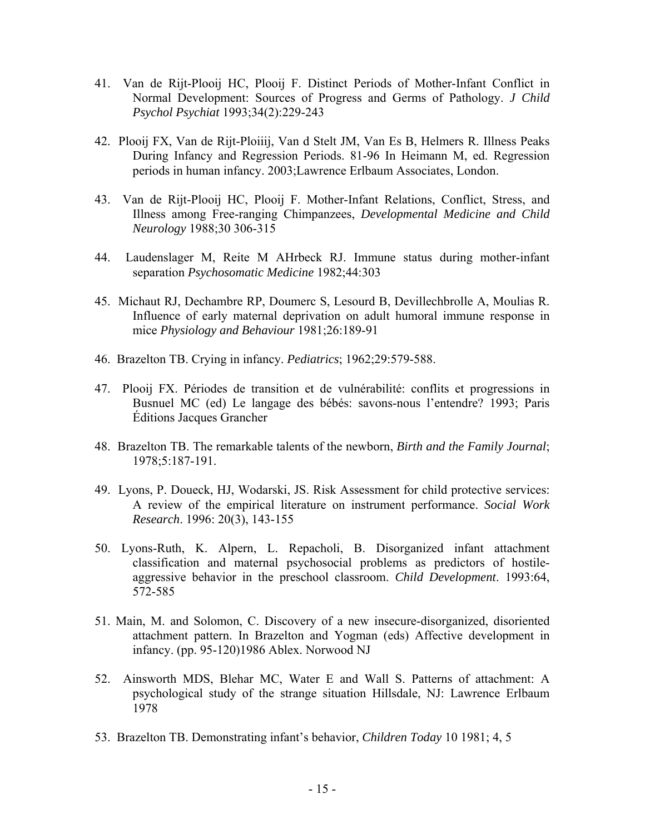- 41. Van de Rijt-Plooij HC, Plooij F. Distinct Periods of Mother-Infant Conflict in Normal Development: Sources of Progress and Germs of Pathology. *J Child Psychol Psychiat* 1993;34(2):229-243
- 42. Plooij FX, Van de Rijt-Ploiiij, Van d Stelt JM, Van Es B, Helmers R. Illness Peaks During Infancy and Regression Periods. 81-96 In Heimann M, ed. Regression periods in human infancy. 2003;Lawrence Erlbaum Associates, London.
- 43. Van de Rijt-Plooij HC, Plooij F. Mother-Infant Relations, Conflict, Stress, and Illness among Free-ranging Chimpanzees, *Developmental Medicine and Child Neurology* 1988;30 306-315
- 44. Laudenslager M, Reite M AHrbeck RJ. Immune status during mother-infant separation *Psychosomatic Medicine* 1982;44:303
- 45. Michaut RJ, Dechambre RP, Doumerc S, Lesourd B, Devillechbrolle A, Moulias R. Influence of early maternal deprivation on adult humoral immune response in mice *Physiology and Behaviour* 1981;26:189-91
- 46. Brazelton TB. Crying in infancy. *Pediatrics*; 1962;29:579-588.
- 47. Plooij FX. Périodes de transition et de vulnérabilité: conflits et progressions in Busnuel MC (ed) Le langage des bébés: savons-nous l'entendre? 1993; Paris Éditions Jacques Grancher
- 48. Brazelton TB. The remarkable talents of the newborn, *Birth and the Family Journal*; 1978;5:187-191.
- 49. Lyons, P. Doueck, HJ, Wodarski, JS. Risk Assessment for child protective services: A review of the empirical literature on instrument performance. *Social Work Research*. 1996: 20(3), 143-155
- 50. Lyons-Ruth, K. Alpern, L. Repacholi, B. Disorganized infant attachment classification and maternal psychosocial problems as predictors of hostileaggressive behavior in the preschool classroom. *Child Development*. 1993:64, 572-585
- 51. Main, M. and Solomon, C. Discovery of a new insecure-disorganized, disoriented attachment pattern. In Brazelton and Yogman (eds) Affective development in infancy. (pp. 95-120)1986 Ablex. Norwood NJ
- 52. Ainsworth MDS, Blehar MC, Water E and Wall S. Patterns of attachment: A psychological study of the strange situation Hillsdale, NJ: Lawrence Erlbaum 1978
- 53. Brazelton TB. Demonstrating infant's behavior, *Children Today* 10 1981; 4, 5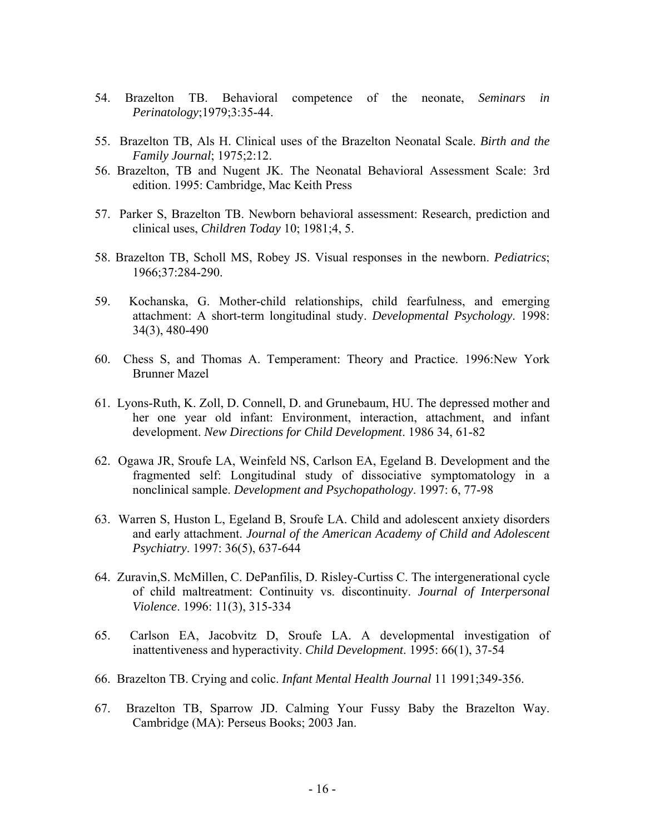- 54. Brazelton TB. Behavioral competence of the neonate, *Seminars in Perinatology*;1979;3:35-44.
- 55. Brazelton TB, Als H. Clinical uses of the Brazelton Neonatal Scale. *Birth and the Family Journal*; 1975;2:12.
- 56. Brazelton, TB and Nugent JK. The Neonatal Behavioral Assessment Scale: 3rd edition. 1995: Cambridge, Mac Keith Press
- 57. Parker S, Brazelton TB. Newborn behavioral assessment: Research, prediction and clinical uses, *Children Today* 10; 1981;4, 5.
- 58. Brazelton TB, Scholl MS, Robey JS. Visual responses in the newborn. *Pediatrics*; 1966;37:284-290.
- 59. Kochanska, G. Mother-child relationships, child fearfulness, and emerging attachment: A short-term longitudinal study. *Developmental Psychology*. 1998: 34(3), 480-490
- 60. Chess S, and Thomas A. Temperament: Theory and Practice. 1996:New York Brunner Mazel
- 61. Lyons-Ruth, K. Zoll, D. Connell, D. and Grunebaum, HU. The depressed mother and her one year old infant: Environment, interaction, attachment, and infant development. *New Directions for Child Development*. 1986 34, 61-82
- 62. Ogawa JR, Sroufe LA, Weinfeld NS, Carlson EA, Egeland B. Development and the fragmented self: Longitudinal study of dissociative symptomatology in a nonclinical sample. *Development and Psychopathology*. 1997: 6, 77-98
- 63. Warren S, Huston L, Egeland B, Sroufe LA. Child and adolescent anxiety disorders and early attachment. *Journal of the American Academy of Child and Adolescent Psychiatry*. 1997: 36(5), 637-644
- 64. Zuravin,S. McMillen, C. DePanfilis, D. Risley-Curtiss C. The intergenerational cycle of child maltreatment: Continuity vs. discontinuity. *Journal of Interpersonal Violence*. 1996: 11(3), 315-334
- 65. Carlson EA, Jacobvitz D, Sroufe LA. A developmental investigation of inattentiveness and hyperactivity. *Child Development*. 1995: 66(1), 37-54
- 66. Brazelton TB. Crying and colic. *Infant Mental Health Journal* 11 1991;349-356.
- 67. Brazelton TB, Sparrow JD. Calming Your Fussy Baby the Brazelton Way. Cambridge (MA): Perseus Books; 2003 Jan.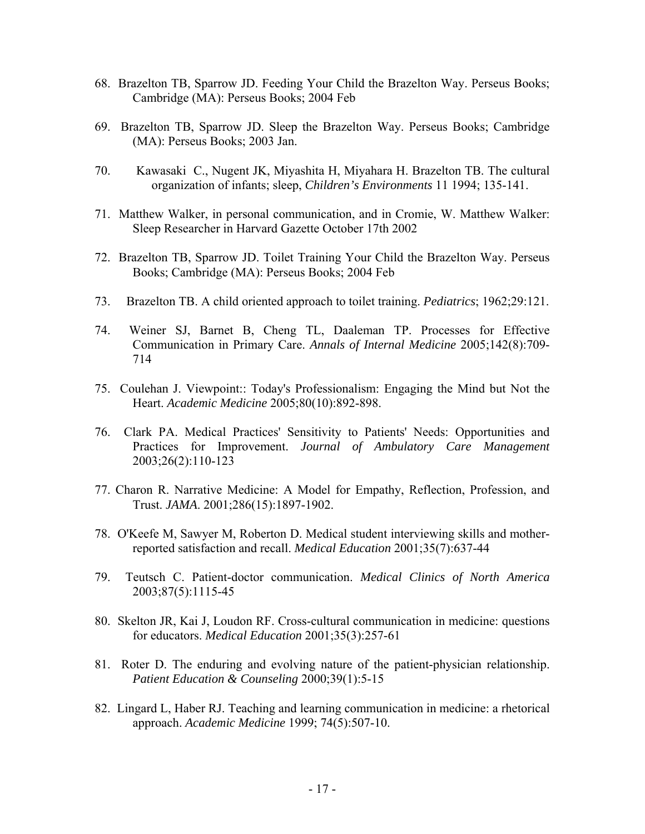- 68. Brazelton TB, Sparrow JD. Feeding Your Child the Brazelton Way. Perseus Books; Cambridge (MA): Perseus Books; 2004 Feb
- 69. Brazelton TB, Sparrow JD. Sleep the Brazelton Way. Perseus Books; Cambridge (MA): Perseus Books; 2003 Jan.
- 70. Kawasaki C., Nugent JK, Miyashita H, Miyahara H. Brazelton TB. The cultural organization of infants; sleep, *Children's Environments* 11 1994; 135-141.
- 71. Matthew Walker, in personal communication, and in Cromie, W. Matthew Walker: Sleep Researcher in Harvard Gazette October 17th 2002
- 72. Brazelton TB, Sparrow JD. Toilet Training Your Child the Brazelton Way. Perseus Books; Cambridge (MA): Perseus Books; 2004 Feb
- 73. Brazelton TB. A child oriented approach to toilet training. *Pediatrics*; 1962;29:121.
- 74. Weiner SJ, Barnet B, Cheng TL, Daaleman TP. Processes for Effective Communication in Primary Care. *Annals of Internal Medicine* 2005;142(8):709- 714
- 75. Coulehan J. Viewpoint:: Today's Professionalism: Engaging the Mind but Not the Heart. *Academic Medicine* 2005;80(10):892-898.
- 76. Clark PA. Medical Practices' Sensitivity to Patients' Needs: Opportunities and Practices for Improvement. *Journal of Ambulatory Care Management* 2003;26(2):110-123
- 77. Charon R. Narrative Medicine: A Model for Empathy, Reflection, Profession, and Trust. *JAMA*. 2001;286(15):1897-1902.
- 78. O'Keefe M, Sawyer M, Roberton D. Medical student interviewing skills and motherreported satisfaction and recall. *Medical Education* 2001;35(7):637-44
- 79. Teutsch C. Patient-doctor communication. *Medical Clinics of North America* 2003;87(5):1115-45
- 80. Skelton JR, Kai J, Loudon RF. Cross-cultural communication in medicine: questions for educators. *Medical Education* 2001;35(3):257-61
- 81. Roter D. The enduring and evolving nature of the patient-physician relationship. *Patient Education & Counseling* 2000;39(1):5-15
- 82. Lingard L, Haber RJ. Teaching and learning communication in medicine: a rhetorical approach. *Academic Medicine* 1999; 74(5):507-10.